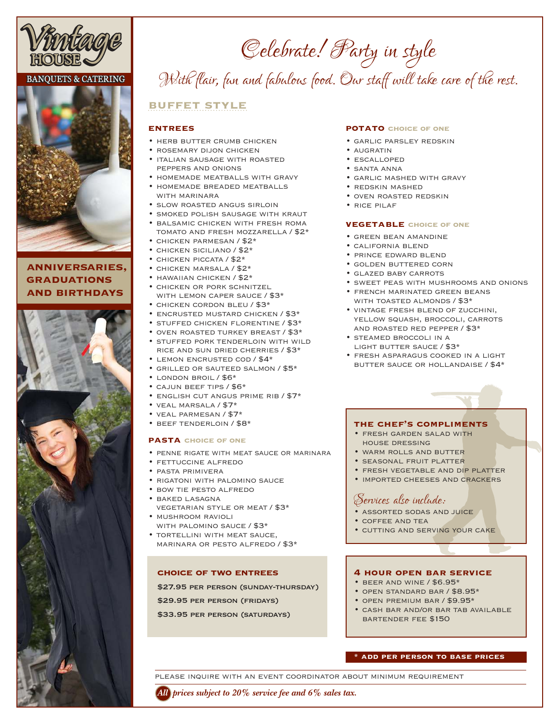

# **BANQUETS & CATERING**



# **anniversaries, graduations and birthdays**



# *Celebrate! Party in style With flair, fun and fabulous food. Our staff will take care of the rest.*

# **buffet style**

## **entrees**

- herb butter crumb chicken
- rosemary dijon chicken
- italian sausage with roasted peppers and onions
- homemade meatballs with gravy • homemade breaded meatballs
- WITH MARINARA
- slow roasted angus sirloin
- smoked polish sausage with kraut
- balsamic chicken with fresh roma tomato and fresh mozzarella / \$2\*
- chicken parmesan / \$2\*
- chicken siciliano / \$2\*
- chicken piccata / \$2\* • chicken marsala / \$2\*
- 
- hawaiian chicken / \$2\*
- chicken or pork schnitzel with lemon caper sauce / \$3\*
- CHICKEN CORDON BLEU / \$3\*
- encrusted mustard chicken / \$3\*
- stuffed chicken florentine / \$3\*
- oven roasted turkey breast / \$3\* • stuffed pork tenderloin with wild rice and sun dried cherries / \$3\*
- lemon encrusted cod / \$4\*
- grilled or sauteed salmon / \$5\*
- london broil / \$6\*
- cajun beef tips / \$6\*
- english cut angus prime rib / \$7\*
- veal marsala / \$7\*
- veal parmesan / \$7\*
- beef tenderloin / \$8\*

## **pasta choice of one**

- penne rigate with meat sauce or marinara
- fettuccine alfredo
- pasta primivera
- rigatoni with palomino sauce
- bow tie pesto alfredo
- baked lasagna vegetarian style or meat / \$3\*
- mushroom ravioli with palomino sauce / \$3\*
- tortellini with meat sauce, marinara or pesto alfredo / \$3\*

## **choice of two entrees**

\$27.95 PER PERSON (SUNDAY-THURSDAY)

\$29.95 per person (fridays)

\$33.95 per person (saturdays)

#### **potato choice of one**

- garlic parsley redskin
- augratin
- escalloped
- santa anna
- garlic mashed with gravy
- redskin mashed
- oven roasted redskin
- rice pilaf

### **vegetable choice of one**

- green bean amandine
- california blend
- prince edward blend
- golden buttered corn
- glazed baby carrots
- sweet peas with mushrooms and onions
- french marinated green beans with toasted almonds / \$3\*
- vintage fresh blend of zucchini, YELLOW SQUASH, BROCCOLI, CARROTS and roasted red pepper / \$3\*
- steamed broccoli in a LIGHT BUTTER SAUCE / \$3\*
- fresh asparagus cooked in a light butter sauce or hollandaise / \$4\*

## **the chef's compliments**

- fresh garden salad with house dressing
- warm rolls and butter
- seasonal fruit platter
- fresh vegetable and dip platter
- imported cheeses and crackers

# *Services also include:*

- assorted sodas and juice
- coffee and tea
- cutting and serving your cake

# **4 hour open bar service**

- $\cdot$  BEER AND WINE / \$6.95\*
- open standard bar / \$8.95\*
- open premium bar / \$9.95\*
- cash bar and/or bar tab available bartender fee \$150

# **\* add per person to base prices**

please inquire with an event coordinator about minimum requirement

*All prices subject to 20% service fee and 6% sales tax.*